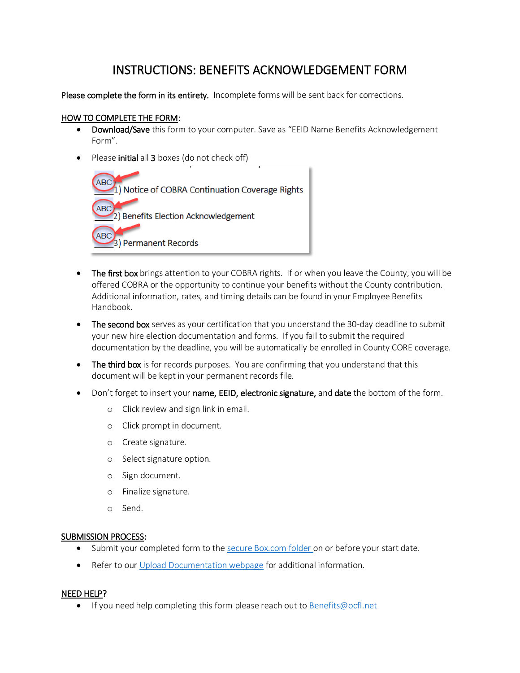# INSTRUCTIONS: BENEFITS ACKNOWLEDGEMENT FORM

Please complete the form in its entirety. Incomplete forms will be sent back for corrections.

### HOW TO COMPLETE THE FORM:

- Download/Save this form to your computer. Save as "EEID Name Benefits Acknowledgement Form".
- Please initial all 3 boxes (do not check off)



- The first box brings attention to your COBRA rights. If or when you leave the County, you will be offered COBRA or the opportunity to continue your benefits without the County contribution.<br>Additional information, rates, and timing details can be found in your Employee Benefits Additional information, rates, and timing details can be found in your Employee Benefits Handbook.
- your new hire election documentation and forms. If you fail to submit the required documentation by the deadline, you will be automatically be enrolled in County CORE coverage. • The second box serves as your certification that you understand the 30-day deadline to submit
- The third box is for records purposes. You are confirming that you understand that this document will be kept in your permanent records file.
- Don't forget to insert your name, EEID, electronic signature, and date the bottom of the form.
	- o Click review and sign link in email.
	- o Click prompt in document.
	- o Create signature.
	- o Select signature option.
	- o Sign document.
	- o Finalize signature.
	- o Send.

#### SUBMISSION PROCESS:

- Submit your completed form to the secure Box.com folder on or before your start date.
- Refer to our Upload Documentation webpage for additional information.

#### NEED HELP?

If you need help completing this form please reach out to **Benefits@ocfl.net**